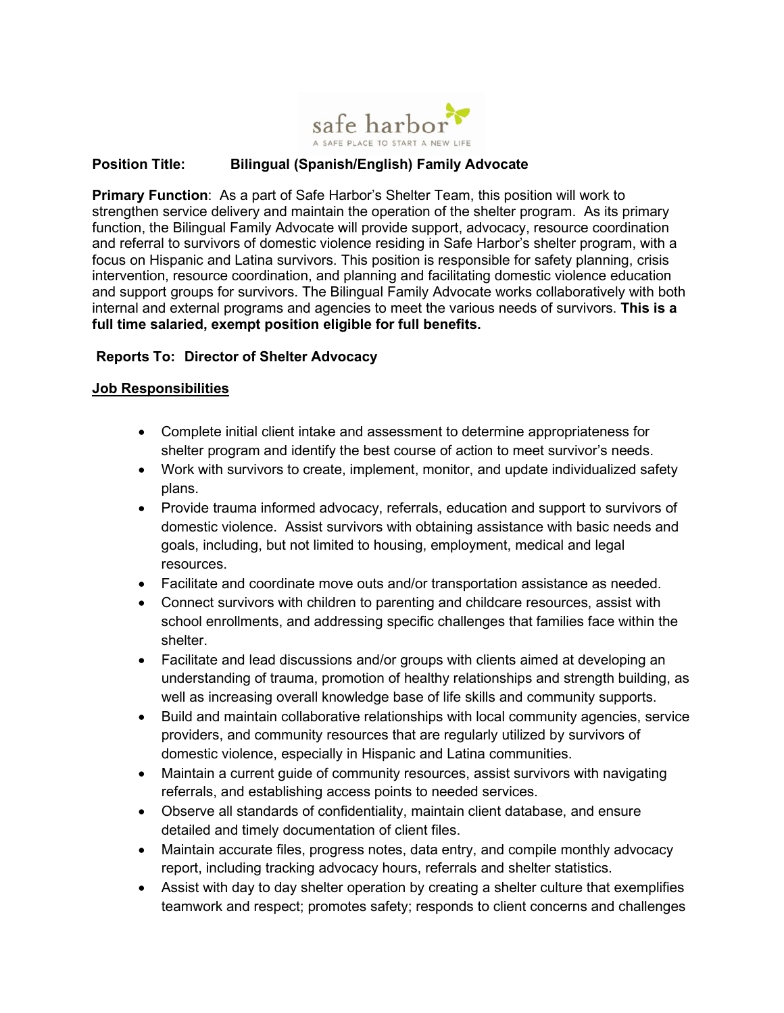

## **Position Title: Bilingual (Spanish/English) Family Advocate**

**Primary Function**: As a part of Safe Harbor's Shelter Team, this position will work to strengthen service delivery and maintain the operation of the shelter program. As its primary function, the Bilingual Family Advocate will provide support, advocacy, resource coordination and referral to survivors of domestic violence residing in Safe Harbor's shelter program, with a focus on Hispanic and Latina survivors. This position is responsible for safety planning, crisis intervention, resource coordination, and planning and facilitating domestic violence education and support groups for survivors. The Bilingual Family Advocate works collaboratively with both internal and external programs and agencies to meet the various needs of survivors. **This is a full time salaried, exempt position eligible for full benefits.**

## **Reports To: Director of Shelter Advocacy**

## **Job Responsibilities**

- Complete initial client intake and assessment to determine appropriateness for shelter program and identify the best course of action to meet survivor's needs.
- Work with survivors to create, implement, monitor, and update individualized safety plans.
- Provide trauma informed advocacy, referrals, education and support to survivors of domestic violence. Assist survivors with obtaining assistance with basic needs and goals, including, but not limited to housing, employment, medical and legal resources.
- Facilitate and coordinate move outs and/or transportation assistance as needed.
- Connect survivors with children to parenting and childcare resources, assist with school enrollments, and addressing specific challenges that families face within the shelter.
- Facilitate and lead discussions and/or groups with clients aimed at developing an understanding of trauma, promotion of healthy relationships and strength building, as well as increasing overall knowledge base of life skills and community supports.
- Build and maintain collaborative relationships with local community agencies, service providers, and community resources that are regularly utilized by survivors of domestic violence, especially in Hispanic and Latina communities.
- Maintain a current guide of community resources, assist survivors with navigating referrals, and establishing access points to needed services.
- Observe all standards of confidentiality, maintain client database, and ensure detailed and timely documentation of client files.
- Maintain accurate files, progress notes, data entry, and compile monthly advocacy report, including tracking advocacy hours, referrals and shelter statistics.
- Assist with day to day shelter operation by creating a shelter culture that exemplifies teamwork and respect; promotes safety; responds to client concerns and challenges